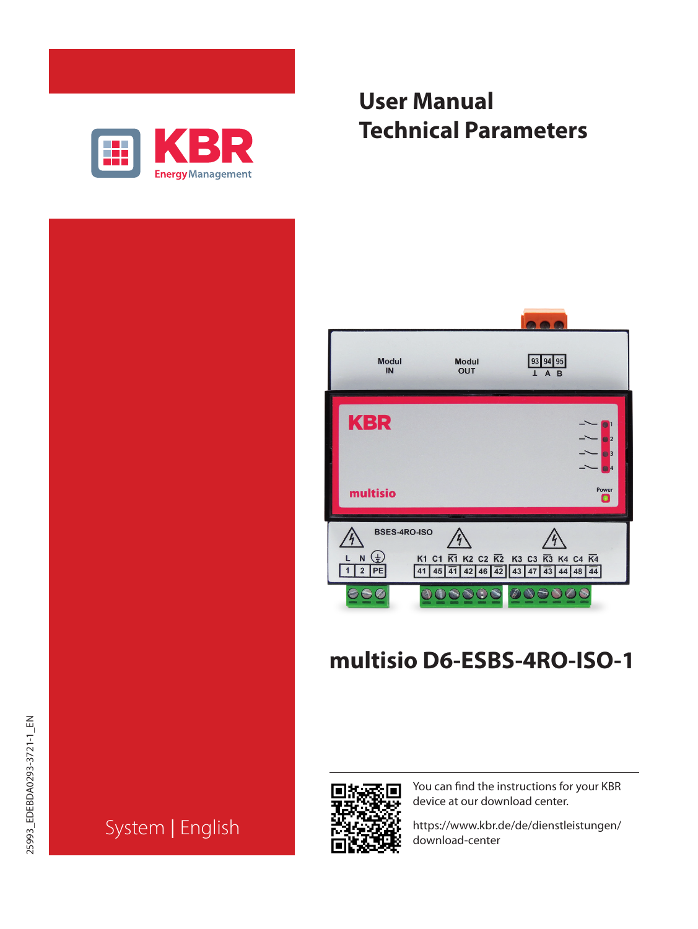

| <b>User Manual</b> |                             |
|--------------------|-----------------------------|
|                    | <b>Technical Parameters</b> |



# **multisio D6-ESBS-4RO-ISO-1**

System | English



You can find the instructions for your KBR device at our download center.

https://www.kbr.de/de/dienstleistungen/ download-center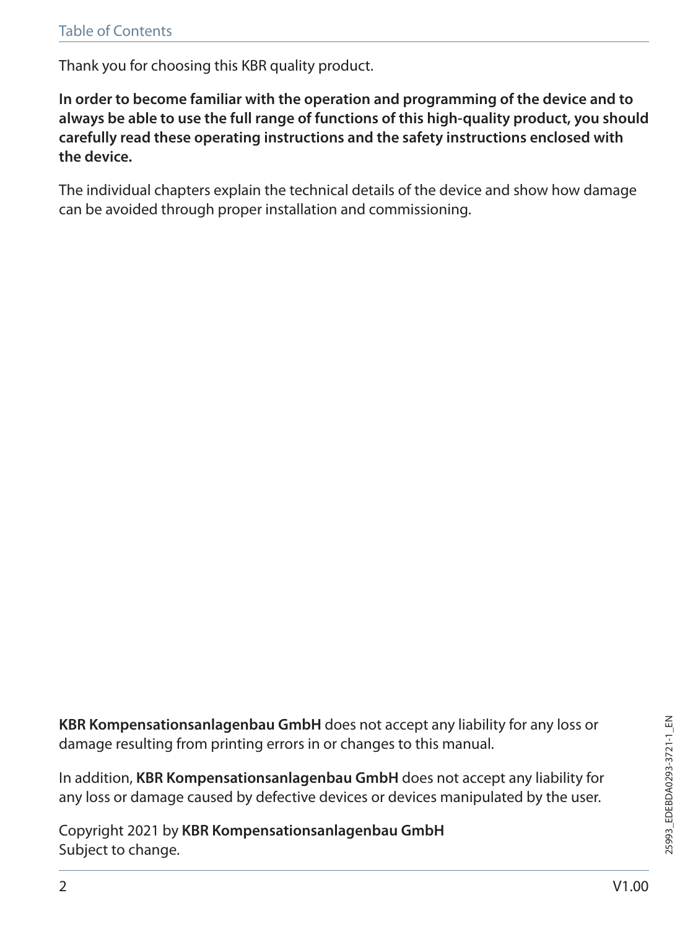Thank you for choosing this KBR quality product.

**In order to become familiar with the operation and programming of the device and to always be able to use the full range of functions of this high-quality product, you should carefully read these operating instructions and the safety instructions enclosed with the device.**

The individual chapters explain the technical details of the device and show how damage can be avoided through proper installation and commissioning.

**KBR Kompensationsanlagenbau GmbH** does not accept any liability for any loss or damage resulting from printing errors in or changes to this manual.

In addition, **KBR Kompensationsanlagenbau GmbH** does not accept any liability for any loss or damage caused by defective devices or devices manipulated by the user.

Copyright 2021 by **KBR Kompensationsanlagenbau GmbH** Subject to change.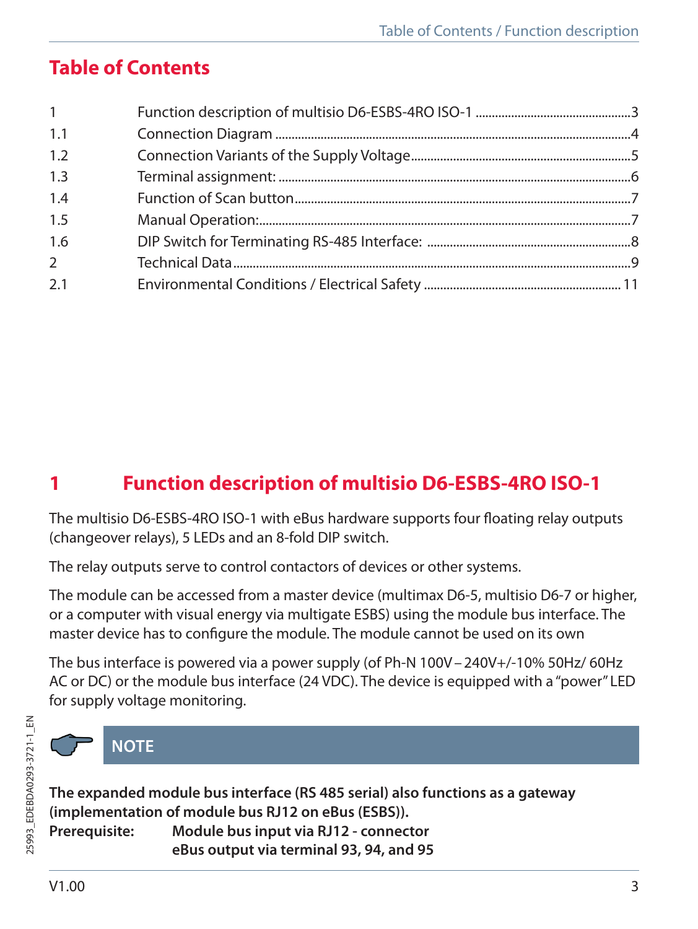## **Table of Contents**

| 1              |  |
|----------------|--|
| 1.1            |  |
| 1.2            |  |
| 1.3            |  |
| 1.4            |  |
| 1.5            |  |
| 1.6            |  |
| $\overline{2}$ |  |
| 2.1            |  |

## **1 Function description of multisio D6-ESBS-4RO ISO-1**

The multisio D6-ESBS-4RO ISO-1 with eBus hardware supports four floating relay outputs (changeover relays), 5 LEDs and an 8-fold DIP switch.

The relay outputs serve to control contactors of devices or other systems.

The module can be accessed from a master device (multimax D6-5, multisio D6-7 or higher, or a computer with visual energy via multigate ESBS) using the module bus interface. The master device has to configure the module. The module cannot be used on its own

The bus interface is powered via a power supply (of Ph-N 100V–240V+/-10% 50Hz/ 60Hz AC or DC) or the module bus interface (24 VDC). The device is equipped with a "power" LED for supply voltage monitoring.



## **NOTE**

**The expanded module bus interface (RS 485 serial) also functions as a gateway (implementation of module bus RJ12 on eBus (ESBS)). Prerequisite: Module bus input via RJ12 - connector eBus output via terminal 93, 94, and 95**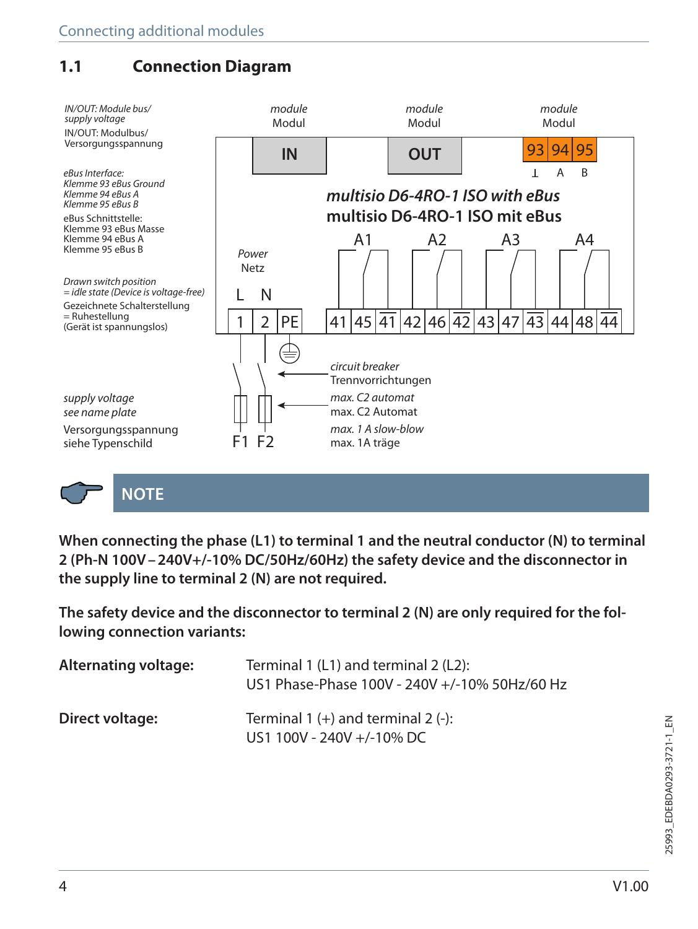## **1.1 Connection Diagram**



**NOTE**

**When connecting the phase (L1) to terminal 1 and the neutral conductor (N) to terminal 2 (Ph-N 100V–240V+/-10% DC/50Hz/60Hz) the safety device and the disconnector in the supply line to terminal 2 (N) are not required.**

**The safety device and the disconnector to terminal 2 (N) are only required for the following connection variants:**

| Alternating voltage: | Terminal 1 (L1) and terminal 2 (L2):<br>US1 Phase-Phase 100V - 240V +/-10% 50Hz/60 Hz |
|----------------------|---------------------------------------------------------------------------------------|
| Direct voltage:      | Terminal $1 (+)$ and terminal $2 (-)$ :<br>US1 100V - 240V +/-10% DC                  |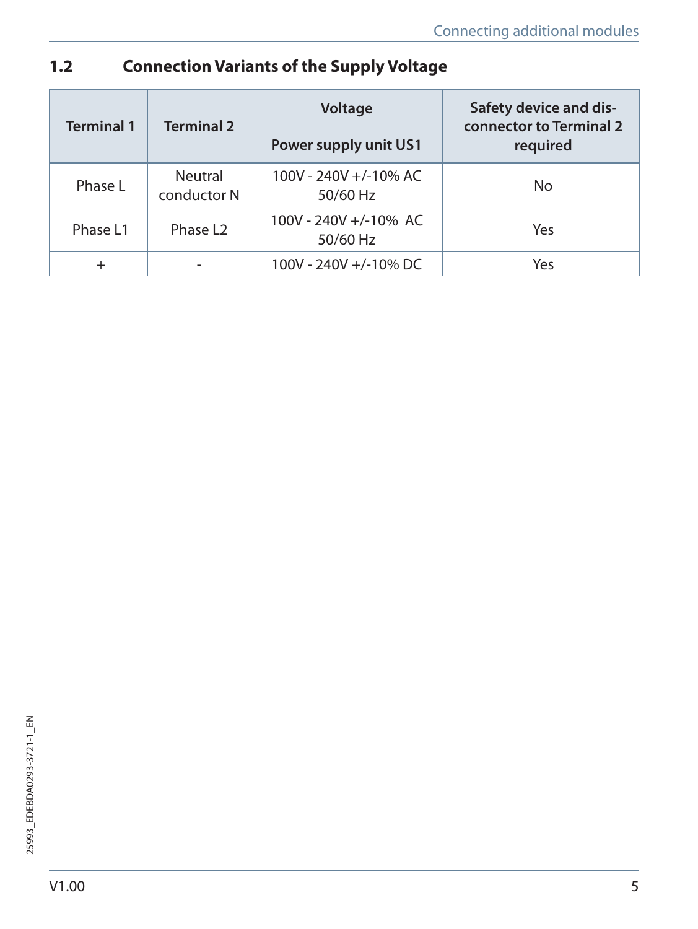## **1.2 Connection Variants of the Supply Voltage**

| <b>Terminal 1</b><br><b>Terminal 2</b> |                        | Voltage                           | Safety device and dis-<br>connector to Terminal 2<br>required |  |
|----------------------------------------|------------------------|-----------------------------------|---------------------------------------------------------------|--|
|                                        |                        | Power supply unit US1             |                                                               |  |
| Phase L                                | Neutral<br>conductor N | 100V - 240V +/-10% AC<br>50/60 Hz | No                                                            |  |
| Phase L1                               | Phase L <sub>2</sub>   | 100V - 240V +/-10% AC<br>50/60 Hz | Yes                                                           |  |
| $^{+}$                                 |                        | 100V - 240V +/-10% DC             | Yes                                                           |  |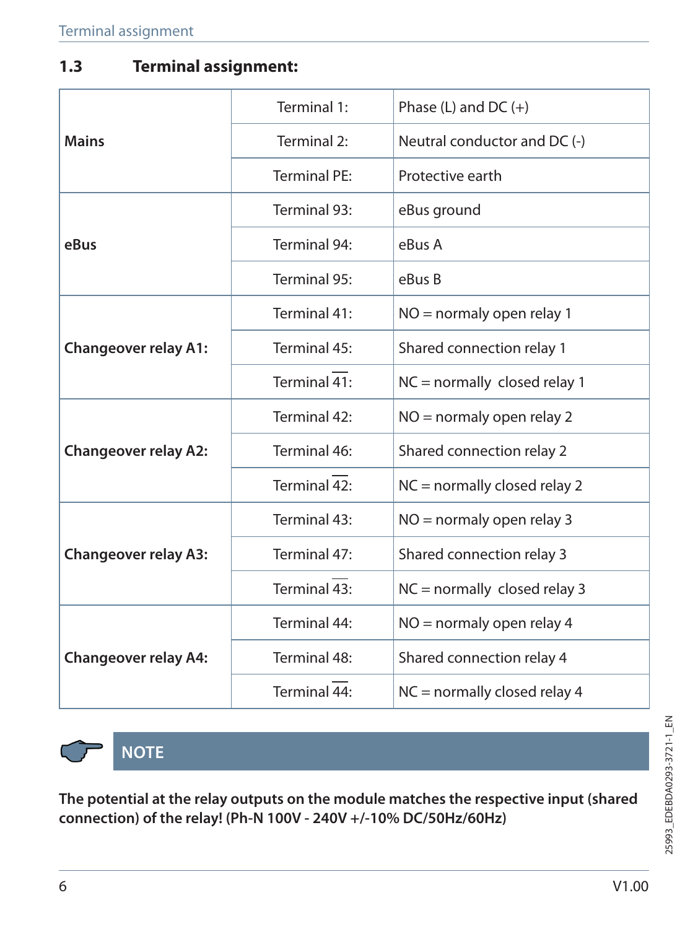### **1.3 Terminal assignment:**

|                             | Terminal 1:  | Phase $(L)$ and DC $(+)$       |  |
|-----------------------------|--------------|--------------------------------|--|
| <b>Mains</b>                | Terminal 2:  | Neutral conductor and DC (-)   |  |
|                             | Terminal PF: | Protective earth               |  |
|                             | Terminal 93: | eBus ground                    |  |
| eBus                        | Terminal 94: | eBus A                         |  |
|                             | Terminal 95: | eBus B                         |  |
|                             | Terminal 41: | $NO =$ normaly open relay 1    |  |
| <b>Changeover relay A1:</b> | Terminal 45: | Shared connection relay 1      |  |
|                             | Terminal 41: | $NC = normally closed relay 1$ |  |
|                             | Terminal 42: | $NO =$ normaly open relay 2    |  |
| <b>Changeover relay A2:</b> | Terminal 46: | Shared connection relay 2      |  |
|                             | Terminal 42: | $NC = normally closed$ relay 2 |  |
|                             | Terminal 43: | $NO =$ normaly open relay 3    |  |
| <b>Changeover relay A3:</b> | Terminal 47: | Shared connection relay 3      |  |
|                             | Terminal 43: | $NC = normally closed relay 3$ |  |
| <b>Changeover relay A4:</b> | Terminal 44: | $NO =$ normaly open relay 4    |  |
|                             | Terminal 48: | Shared connection relay 4      |  |
|                             | Terminal 44: | $NC = normally closed$ relay 4 |  |



**NOTE**

**The potential at the relay outputs on the module matches the respective input (shared connection) of the relay! (Ph-N 100V - 240V +/-10% DC/50Hz/60Hz)**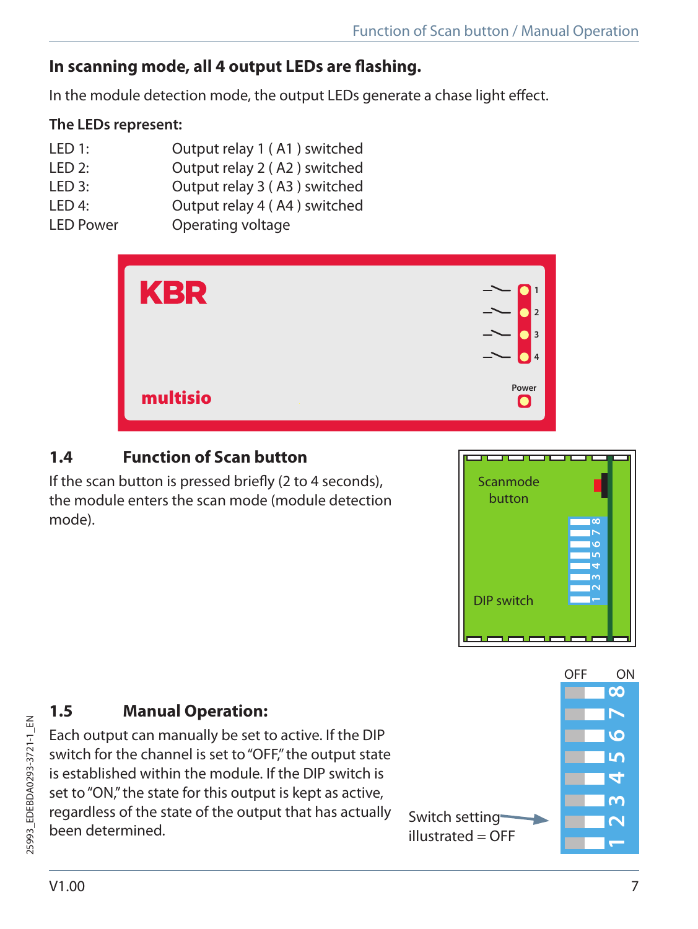## **In scanning mode, all 4 output LEDs are flashing.**

In the module detection mode, the output LEDs generate a chase light effect.

#### **The LEDs represent:**

- LED 1: Output relay 1 ( A1 ) switched
- LED 2: Output relay 2 ( A2 ) switched
- LED 3: Output relay 3 ( A3 ) switched
- LED 4: Output relay 4 ( A4 ) switched
- LED Power Operating voltage



## **1.4 Function of Scan button**

If the scan button is pressed briefly (2 to 4 seconds), the module enters the scan mode (module detection mode).



## **1.5 Manual Operation:**

Each output can manually be set to active. If the DIP switch for the channel is set to "OFF" the output state is established within the module. If the DIP switch is set to "ON," the state for this output is kept as active, regardless of the state of the output that has actually setting Switch setting<br>been determined.

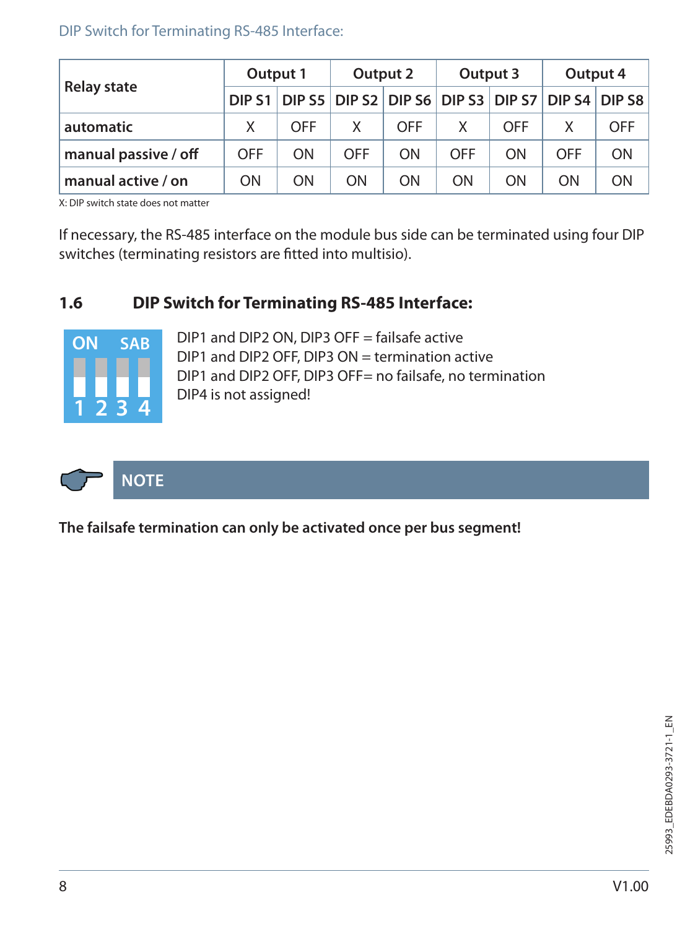#### DIP Switch for Terminating RS-485 Interface:

|                      | Output 1   |                                                                       | Output 2   |     | Output 3   |     | Output 4 |            |
|----------------------|------------|-----------------------------------------------------------------------|------------|-----|------------|-----|----------|------------|
| <b>Relay state</b>   |            | DIP S1   DIP S5   DIP S2   DIP S6   DIP S3   DIP S7   DIP S4   DIP S8 |            |     |            |     |          |            |
| automatic            | X          | <b>OFF</b>                                                            | X          | OFF | X.         | OFF |          | <b>OFF</b> |
| manual passive / off | <b>OFF</b> | ON                                                                    | <b>OFF</b> | ON  | <b>OFF</b> | ON  | OFF      | ON         |
| manual active / on   | ON         | ON                                                                    | ON         | ON  | ON         | ON  | ON       | ON         |

X: DIP switch state does not matter

If necessary, the RS-485 interface on the module bus side can be terminated using four DIP switches (terminating resistors are fitted into multisio).

#### **1.6 DIP Switch for Terminating RS-485 Interface:**



DIP1 and DIP2 ON, DIP3 OFF = failsafe active DIP1 and DIP2 OFF, DIP3 ON = termination active DIP1 and DIP2 OFF, DIP3 OFF= no failsafe, no termination DIP4 is not assigned!



**The failsafe termination can only be activated once per bus segment!**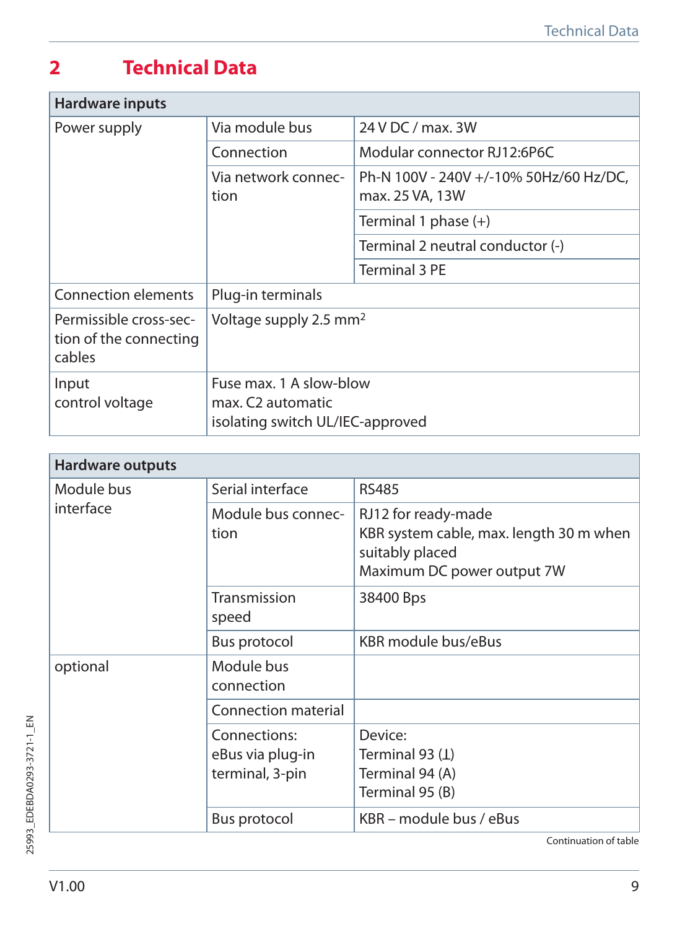# **2 Technical Data**

| Hardware inputs                                            |                                                                                  |                                                           |  |
|------------------------------------------------------------|----------------------------------------------------------------------------------|-----------------------------------------------------------|--|
| Power supply                                               | Via module bus                                                                   | 24 V DC / max. 3W                                         |  |
|                                                            | Connection                                                                       | Modular connector RJ12:6P6C                               |  |
|                                                            | Via network connec-<br>tion                                                      | Ph-N 100V - 240V +/-10% 50Hz/60 Hz/DC,<br>max. 25 VA, 13W |  |
|                                                            |                                                                                  | Terminal 1 phase $(+)$                                    |  |
|                                                            |                                                                                  | Terminal 2 neutral conductor (-)                          |  |
|                                                            |                                                                                  | Terminal 3 PE                                             |  |
| Connection elements                                        | Plug-in terminals                                                                |                                                           |  |
| Permissible cross-sec-<br>tion of the connecting<br>cables | Voltage supply 2.5 mm <sup>2</sup>                                               |                                                           |  |
| Input<br>control voltage                                   | Fuse max. 1 A slow-blow<br>max. C2 automatic<br>isolating switch UL/IEC-approved |                                                           |  |

| Hardware outputs |                                                     |                                                                                                                 |
|------------------|-----------------------------------------------------|-----------------------------------------------------------------------------------------------------------------|
| Module bus       | Serial interface                                    | <b>RS485</b>                                                                                                    |
| interface        | Module bus connec-<br>tion                          | RJ12 for ready-made<br>KBR system cable, max. length 30 m when<br>suitably placed<br>Maximum DC power output 7W |
|                  | Transmission<br>speed                               | 38400 Bps                                                                                                       |
|                  | Bus protocol                                        | KBR module bus/eBus                                                                                             |
| optional         | Module bus<br>connection                            |                                                                                                                 |
|                  | Connection material                                 |                                                                                                                 |
|                  | Connections:<br>eBus via plug-in<br>terminal, 3-pin | Device:<br>Terminal 93 $(L)$<br>Terminal 94 (A)<br>Terminal 95 (B)                                              |
|                  | Bus protocol                                        | KBR – module bus / eBus                                                                                         |

Continuation of table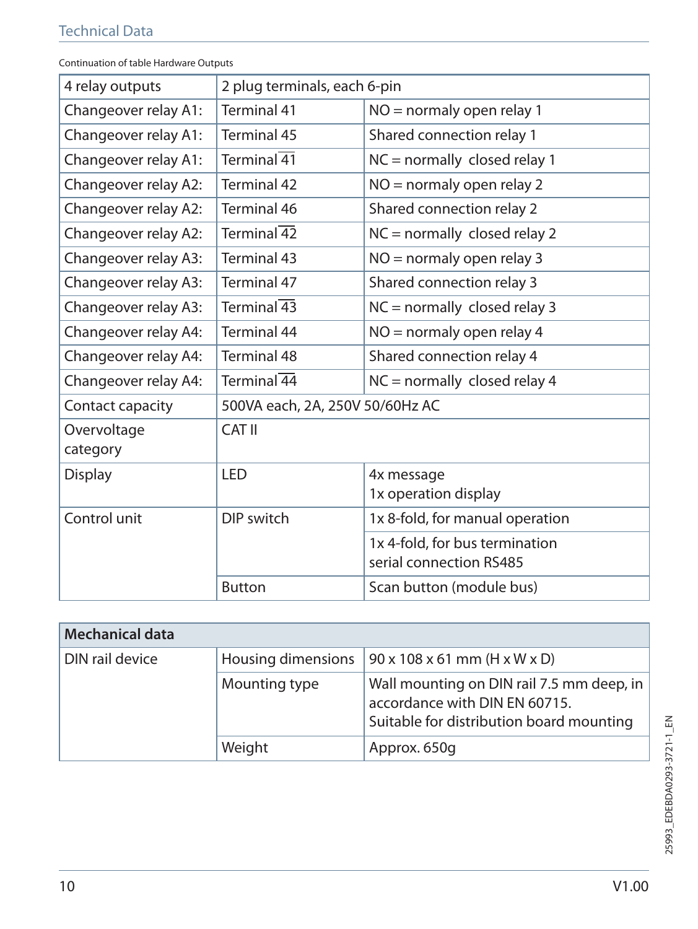| UNUNGUUN U tabic Haruware Outbut |                                                            |                                                           |  |
|----------------------------------|------------------------------------------------------------|-----------------------------------------------------------|--|
| 4 relay outputs                  | 2 plug terminals, each 6-pin                               |                                                           |  |
| Changeover relay A1:             | Terminal 41<br>NO = normaly open relay 1                   |                                                           |  |
| Changeover relay A1:             | Terminal 45                                                | Shared connection relay 1                                 |  |
| Changeover relay A1:             | Terminal $\overline{41}$                                   | $NC = normally closed relay 1$                            |  |
| Changeover relay A2:             | Terminal 42                                                | $NO =$ normaly open relay 2                               |  |
| Changeover relay A2:             | Terminal 46                                                | Shared connection relay 2                                 |  |
| Changeover relay A2:             | Terminal $\overline{42}$                                   | $NC = normally closed relay 2$                            |  |
| Changeover relay A3:             | Terminal 43                                                | $NO =$ normaly open relay 3                               |  |
| Changeover relay A3:             | Terminal 47                                                | Shared connection relay 3                                 |  |
| Changeover relay A3:             | Terminal $\overline{43}$                                   | $NC = normally closed relay 3$                            |  |
| Changeover relay A4:             | Terminal 44                                                | $NO =$ normaly open relay 4                               |  |
| Changeover relay A4:             | <b>Terminal 48</b>                                         | Shared connection relay 4                                 |  |
| Changeover relay A4:             | Terminal $\overline{44}$<br>$NC = normally closed relay 4$ |                                                           |  |
| Contact capacity                 | 500VA each, 2A, 250V 50/60Hz AC                            |                                                           |  |
| Overvoltage<br>category          | CAT II                                                     |                                                           |  |
| Display                          | <b>LED</b>                                                 | 4x message<br>1x operation display                        |  |
| Control unit                     | DIP switch                                                 | 1x 8-fold, for manual operation                           |  |
|                                  |                                                            | 1x 4-fold, for bus termination<br>serial connection RS485 |  |
|                                  | <b>Button</b>                                              | Scan button (module bus)                                  |  |

Continuation of table Hardware Outputs

| <b>Mechanical data</b> |                    |                                                                                                                        |
|------------------------|--------------------|------------------------------------------------------------------------------------------------------------------------|
| DIN rail device        | Housing dimensions | $90 \times 108 \times 61$ mm (H x W x D)                                                                               |
|                        | Mounting type      | Wall mounting on DIN rail 7.5 mm deep, in<br>accordance with DIN EN 60715.<br>Suitable for distribution board mounting |
|                        | Weight             | Approx. 650g                                                                                                           |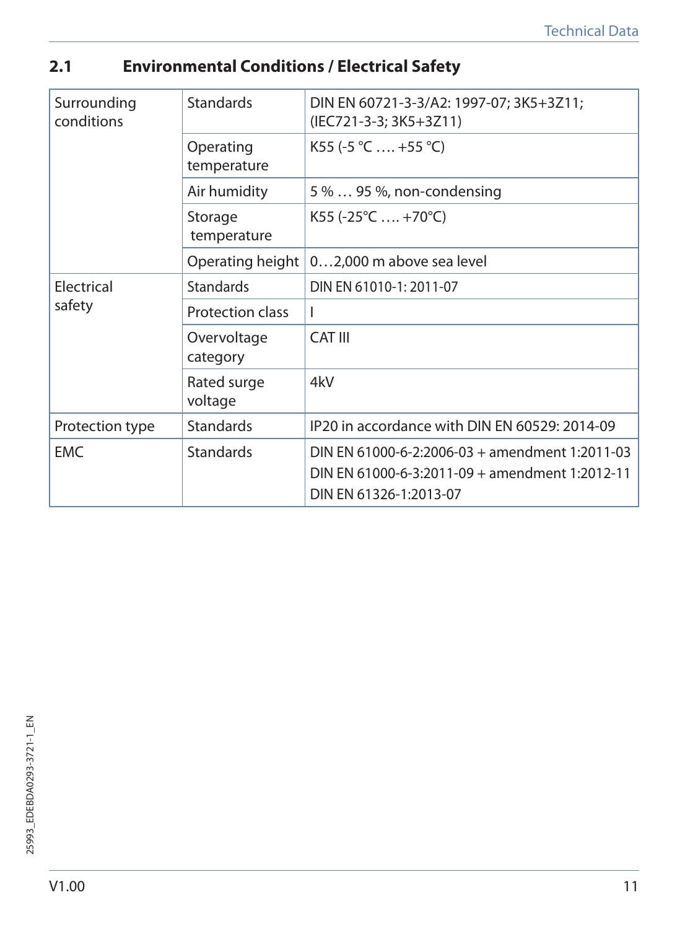## **2.1 Environmental Conditions / Electrical Safety**

| Surrounding<br>conditions | <b>Standards</b>         | DIN EN 60721-3-3/A2: 1997-07; 3K5+3Z11;<br>(IEC721-3-3; 3K5+3Z11)                                                          |  |
|---------------------------|--------------------------|----------------------------------------------------------------------------------------------------------------------------|--|
|                           | Operating<br>temperature | K55 (-5 °C  +55 °C)                                                                                                        |  |
|                           | Air humidity             | 5 %  95 %, non-condensing                                                                                                  |  |
|                           | Storage<br>temperature   | $K55 (-25^{\circ}C  +70^{\circ}C)$                                                                                         |  |
|                           | Operating height         | 02,000 m above sea level                                                                                                   |  |
| Electrical<br>safety      | <b>Standards</b>         | DIN EN 61010-1: 2011-07                                                                                                    |  |
|                           | Protection class         | I                                                                                                                          |  |
|                           | Overvoltage<br>category  | CAT III                                                                                                                    |  |
|                           | Rated surge<br>voltage   | 4kV                                                                                                                        |  |
| Protection type           | <b>Standards</b>         | IP20 in accordance with DIN EN 60529: 2014-09                                                                              |  |
| <b>EMC</b>                | <b>Standards</b>         | DIN EN 61000-6-2:2006-03 + amendment 1:2011-03<br>DIN EN 61000-6-3:2011-09 + amendment 1:2012-11<br>DIN EN 61326-1:2013-07 |  |